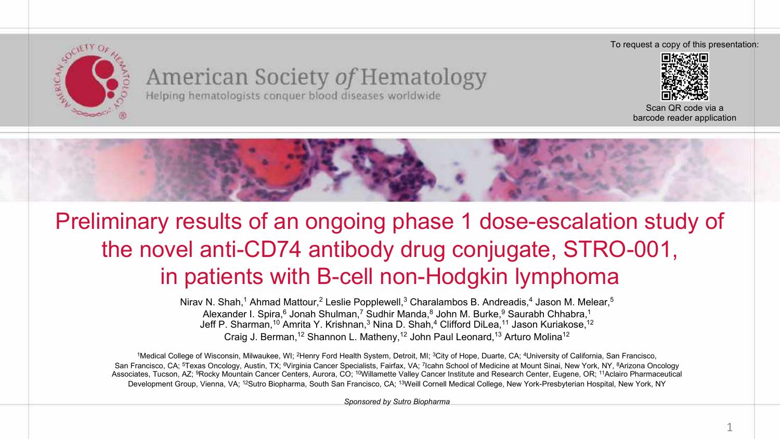

### American Society of Hematology Helping hematologists conquer blood diseases worldwide

To request a copy of this presentation:



Scan QR code via a barcode reader application



## Preliminary results of an ongoing phase 1 dose-escalation study of the novel anti-CD74 antibody drug conjugate, STRO-001, in patients with B-cell non-Hodgkin lymphoma

Nirav N. Shah,<sup>1</sup> Ahmad Mattour,<sup>2</sup> Leslie Popplewell,<sup>3</sup> Charalambos B. Andreadis,<sup>4</sup> Jason M. Melear,<sup>5</sup> Alexander I. Spira,<sup>6</sup> Jonah Shulman,<sup>7</sup> Sudhir Manda,<sup>8</sup> John M. Burke,<sup>9</sup> Saurabh Chhabra,<sup>1</sup> Jeff P. Sharman,<sup>10</sup> Amrita Y. Krishnan,<sup>3</sup> Nina D. Shah,<sup>4</sup> Clifford DiLea,<sup>11</sup> Jason Kuriakose,<sup>12</sup> Craig J. Berman,12 Shannon L. Matheny,12 John Paul Leonard,13 Arturo Molina12

<sup>1</sup>Medical College of Wisconsin, Milwaukee, WI: <sup>2</sup>Henry Ford Health System, Detroit, MI: <sup>3</sup>City of Hope, Duarte, CA: <sup>4</sup>University of California, San Francisco, San Francisco, CA; <sup>5</sup>Texas Oncology, Austin, TX; <sup>6</sup>Virginia Cancer Specialists, Fairfax, VA; 7Icahn School of Medicine at Mount Sinai, New York, NY, 8Arizona Oncology Associates, Tucson, AZ; 9Rocky Mountain Cancer Centers, Aurora, CO; 10Willamette Valley Cancer Institute and Research Center, Eugene, OR; 11Aclairo Pharmaceutical Development Group, Vienna, VA; <sup>12</sup>Sutro Biopharma, South San Francisco, CA; <sup>13</sup>Weill Cornell Medical College, New York-Presbyterian Hospital, New York, NY

*Sponsored by Sutro Biopharma*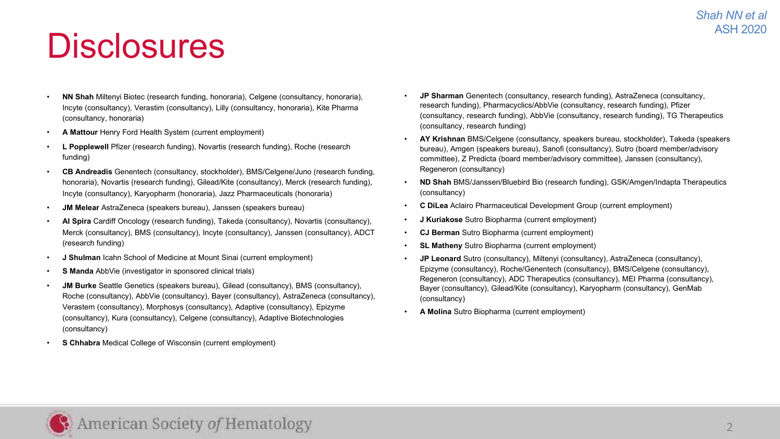## **Disclosures**

- **NN Shah** Miltenyi Biotec (research funding, honoraria), Celgene (consultancy, honoraria), Incyte (consultancy), Verastim (consultancy), Lilly (consultancy, honoraria), Kite Pharma (consultancy, honoraria)
- **A Mattour** Henry Ford Health System (current employment)
- **L Popplewell** Pfizer (research funding), Novartis (research funding), Roche (research funding)
- **CB Andreadis** Genentech (consultancy, stockholder), BMS/Celgene/Juno (research funding, honoraria), Novartis (research funding), Gilead/Kite (consultancy), Merck (research funding), Incyte (consultancy), Karyopharm (honoraria), Jazz Pharmaceuticals (honoraria)
- **JM Melear** AstraZeneca (speakers bureau), Janssen (speakers bureau)
- **AI Spira** Cardiff Oncology (research funding), Takeda (consultancy), Novartis (consultancy), Merck (consultancy), BMS (consultancy), Incyte (consultancy), Janssen (consultancy), ADCT (research funding)
- **J Shulman** Icahn School of Medicine at Mount Sinai (current employment)
- **S Manda** AbbVie (investigator in sponsored clinical trials)
- **JM Burke** Seattle Genetics (speakers bureau), Gilead (consultancy), BMS (consultancy), Roche (consultancy), AbbVie (consultancy), Bayer (consultancy), AstraZeneca (consultancy), Verastem (consultancy), Morphosys (consultancy), Adaptive (consultancy), Epizyme (consultancy), Kura (consultancy), Celgene (consultancy), Adaptive Biotechnologies (consultancy)
- **S Chhabra** Medical College of Wisconsin (current employment)
- **JP Sharman** Genentech (consultancy, research funding), AstraZeneca (consultancy, research funding), Pharmacyclics/AbbVie (consultancy, research funding), Pfizer (consultancy, research funding), AbbVie (consultancy, research funding), TG Therapeutics (consultancy, research funding)
- **AY Krishnan** BMS/Celgene (consultancy, speakers bureau, stockholder), Takeda (speakers bureau), Amgen (speakers bureau), Sanofi (consultancy), Sutro (board member/advisory committee), Z Predicta (board member/advisory committee), Janssen (consultancy), Regeneron (consultancy)
- **ND Shah** BMS/Janssen/Bluebird Bio (research funding), GSK/Amgen/Indapta Therapeutics (consultancy)
- **C DiLea** Aclairo Pharmaceutical Development Group (current employment)
- **J Kuriakose** Sutro Biopharma (current employment)
- **CJ Berman** Sutro Biopharma (current employment)
- **SL Matheny** Sutro Biopharma (current employment)
- **JP Leonard** Sutro (consultancy), Miltenyi (consultancy), AstraZeneca (consultancy), Epizyme (consultancy), Roche/Genentech (consultancy), BMS/Celgene (consultancy), Regeneron (consultancy), ADC Therapeutics (consultancy), MEI Pharma (consultancy), Bayer (consultancy), Gilead/Kite (consultancy), Karyopharm (consultancy), GenMab (consultancy)
- **A Molina** Sutro Biopharma (current employment)

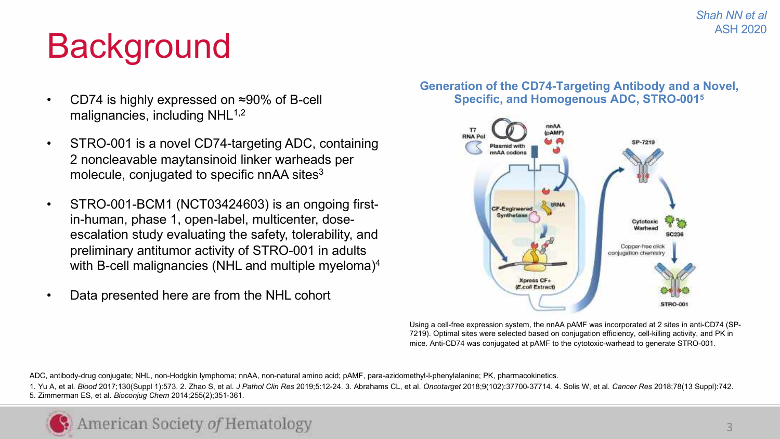#### *Shah NN et al* ASH 2020

# **Background**

- CD74 is highly expressed on ≈90% of B-cell malignancies, including  $NHL^{1,2}$
- STRO-001 is a novel CD74-targeting ADC, containing 2 noncleavable maytansinoid linker warheads per molecule, conjugated to specific nnAA sites<sup>3</sup>
- STRO-001-BCM1 (NCT03424603) is an ongoing firstin-human, phase 1, open-label, multicenter, doseescalation study evaluating the safety, tolerability, and preliminary antitumor activity of STRO-001 in adults with B-cell malignancies (NHL and multiple myeloma)<sup>4</sup>
- Data presented here are from the NHL cohort

#### **Generation of the CD74-Targeting Antibody and a Novel, Specific, and Homogenous ADC, STRO-0015**



Using a cell-free expression system, the nnAA pAMF was incorporated at 2 sites in anti-CD74 (SP-7219). Optimal sites were selected based on conjugation efficiency, cell-killing activity, and PK in mice. Anti-CD74 was conjugated at pAMF to the cytotoxic-warhead to generate STRO-001.

ADC, antibody-drug conjugate; NHL, non-Hodgkin lymphoma; nnAA, non-natural amino acid; pAMF, para-azidomethyl-l-phenylalanine; PK, pharmacokinetics.

1. Yu A, et al. Blood 2017:130(Suppl 1):573, 2, Zhao S, et al. J Pathol Clin Res 2019:5:12-24, 3. Abrahams CL, et al. Oncotarget 2018:9(102):37700-37714, 4, Solis W, et al. Cancer Res 2018:78(13 Suppl):742. 5. Zimmerman ES, et al. *Bioconjug Chem* 2014;255(2);351-361.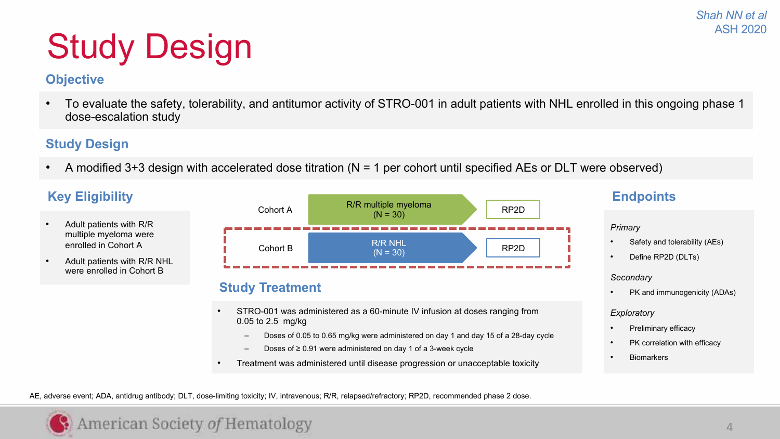# Study Design

### **Objective**

• To evaluate the safety, tolerability, and antitumor activity of STRO-001 in adult patients with NHL enrolled in this ongoing phase 1 dose-escalation study

### **Study Design**

• A modified 3+3 design with accelerated dose titration (N = 1 per cohort until specified AEs or DLT were observed)



AE, adverse event; ADA, antidrug antibody; DLT, dose-limiting toxicity; IV, intravenous; R/R, relapsed/refractory; RP2D, recommended phase 2 dose.

## American Society of Hematology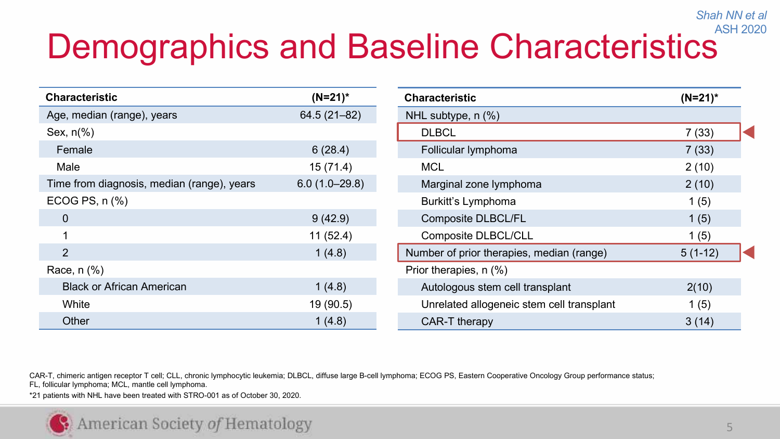### Demographics and Baseline Characteristics ASH 2020

| <b>Characteristic</b>                      | $(N=21)^*$      |  |  |  |  |
|--------------------------------------------|-----------------|--|--|--|--|
| Age, median (range), years                 | 64.5 (21-82)    |  |  |  |  |
| Sex, $n\frac{6}{6}$                        |                 |  |  |  |  |
| Female                                     | 6(28.4)         |  |  |  |  |
| Male                                       | 15(71.4)        |  |  |  |  |
| Time from diagnosis, median (range), years | $6.0(1.0-29.8)$ |  |  |  |  |
| ECOG PS, n (%)                             |                 |  |  |  |  |
| 0                                          | 9(42.9)         |  |  |  |  |
| 1                                          | 11(52.4)        |  |  |  |  |
| $\mathcal{P}$                              | 1(4.8)          |  |  |  |  |
| Race, n (%)                                |                 |  |  |  |  |
| <b>Black or African American</b>           | 1(4.8)          |  |  |  |  |
| White                                      | 19 (90.5)       |  |  |  |  |
| Other                                      | 1(4.8)          |  |  |  |  |

| Characteristic                            | $(N=21)^*$ |  |
|-------------------------------------------|------------|--|
| NHL subtype, n (%)                        |            |  |
| <b>DLBCL</b>                              | 7(33)      |  |
| Follicular lymphoma                       | 7(33)      |  |
| MCL                                       | 2(10)      |  |
| Marginal zone lymphoma                    | 2(10)      |  |
| Burkitt's Lymphoma                        | 1(5)       |  |
| <b>Composite DLBCL/FL</b>                 | 1(5)       |  |
| Composite DLBCL/CLL                       | 1(5)       |  |
| Number of prior therapies, median (range) | $5(1-12)$  |  |
| Prior therapies, n (%)                    |            |  |
| Autologous stem cell transplant           | 2(10)      |  |
| Unrelated allogeneic stem cell transplant | 1(5)       |  |
| CAR-T therapy                             | 3 (14)     |  |

CAR-T, chimeric antigen receptor T cell; CLL, chronic lymphocytic leukemia; DLBCL, diffuse large B-cell lymphoma; ECOG PS, Eastern Cooperative Oncology Group performance status; FL, follicular lymphoma; MCL, mantle cell lymphoma.

\*21 patients with NHL have been treated with STRO-001 as of October 30, 2020.

*Shah NN et al*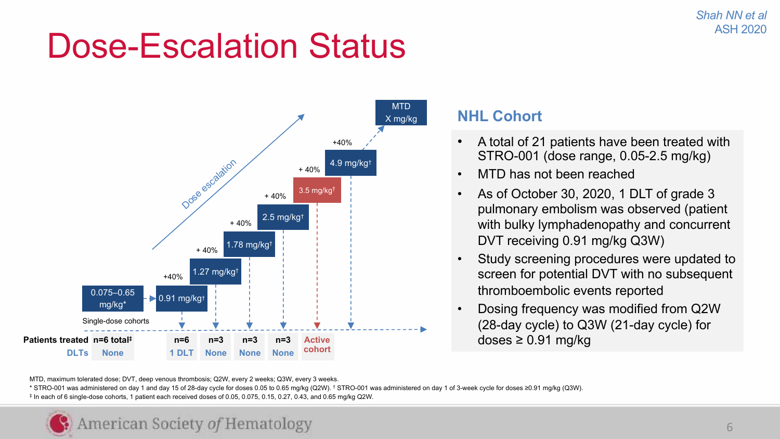## Dose-Escalation Status



### **NHL Cohort**

- A total of 21 patients have been treated with STRO-001 (dose range, 0.05-2.5 mg/kg)
- MTD has not been reached
- As of October 30, 2020, 1 DLT of grade 3 pulmonary embolism was observed (patient with bulky lymphadenopathy and concurrent DVT receiving 0.91 mg/kg Q3W)
- Study screening procedures were updated to screen for potential DVT with no subsequent thromboembolic events reported
- Dosing frequency was modified from Q2W (28-day cycle) to Q3W (21-day cycle) for doses  $\geq 0.91$  mg/kg

\* STRO-001 was administered on day 1 and day 15 of 28-day cycle for doses 0.05 to 0.65 mg/kg (Q2W). † STRO-001 was administered on day 1 of 3-week cycle for doses ≥0.91 mg/kg (Q3W). ‡ In each of 6 single-dose cohorts, 1 patient each received doses of 0.05, 0.075, 0.15, 0.27, 0.43, and 0.65 mg/kg Q2W.

MTD, maximum tolerated dose; DVT, deep venous thrombosis; Q2W, every 2 weeks; Q3W, every 3 weeks.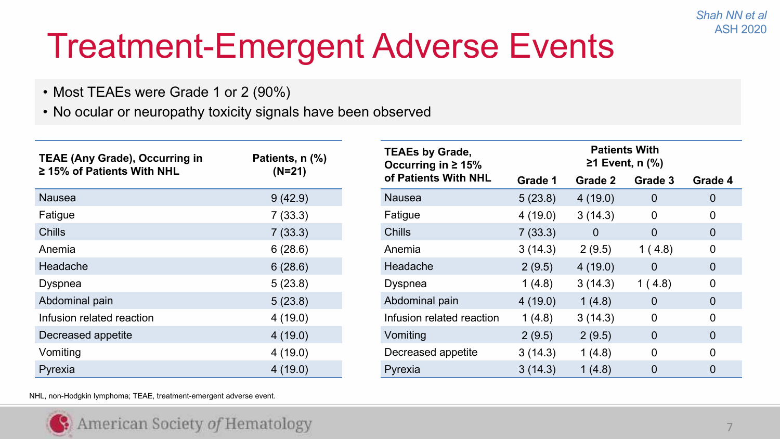# Treatment-Emergent Adverse Events

- Most TEAEs were Grade 1 or 2 (90%)
- No ocular or neuropathy toxicity signals have been observed

| <b>TEAE (Any Grade), Occurring in</b>     | Patients, n (%) | <b>TEAEs by Grade,</b><br>Occurring in $\geq 15\%$ | <b>Patients With</b><br>$≥1$ Event, n $(%$ |                       |                        |                  |
|-------------------------------------------|-----------------|----------------------------------------------------|--------------------------------------------|-----------------------|------------------------|------------------|
| $\geq$ 15% of Patients With NHL           | $(N=21)$        | of Patients With NHL                               | Grade 1                                    | Grade 2               | Grade 3                | Grade 4          |
| Nausea                                    | 9(42.9)         | Nausea                                             | 5(23.8)                                    | 4(19.0)               | $\mathbf 0$            | $\overline{0}$   |
| Fatigue                                   | 7(33.3)         | 4(19.0)                                            | 3(14.3)                                    | 0                     | 0                      |                  |
| Chills                                    | 7(33.3)         | Chills                                             | 7(33.3)<br>3(14.3)                         | $\mathbf 0$<br>2(9.5) | $\mathbf{0}$<br>1(4.8) | $\mathbf 0$<br>0 |
| Anemia                                    | 6(28.6)         | Anemia                                             |                                            |                       |                        |                  |
| Headache<br>6(28.6)<br>5(23.8)<br>Dyspnea |                 | Headache                                           | 2(9.5)<br>1(4.8)                           | 4(19.0)<br>3(14.3)    | $\mathbf{0}$<br>1(4.8) | $\mathbf 0$<br>0 |
|                                           |                 | Dyspnea                                            |                                            |                       |                        |                  |
| Abdominal pain                            | 5(23.8)         | Abdominal pain                                     | 4(19.0)                                    | 1(4.8)                | $\mathbf{0}$           | $\mathbf 0$      |
| Infusion related reaction                 | 4(19.0)         | Infusion related reaction                          | 1(4.8)                                     | 3(14.3)               | 0                      | 0                |
| Decreased appetite<br>4(19.0)             |                 | Vomiting                                           | 2(9.5)                                     | 2(9.5)                | $\mathbf{0}$           | $\mathbf 0$      |
| Vomiting<br>4(19.0)                       |                 | Decreased appetite                                 | 3(14.3)                                    | 1(4.8)                | $\mathbf 0$            | 0                |
| Pyrexia                                   | 4(19.0)         | Pyrexia                                            | 3(14.3)                                    | 1(4.8)                | $\mathbf 0$            | $\Omega$         |

NHL, non-Hodgkin lymphoma; TEAE, treatment-emergent adverse event.

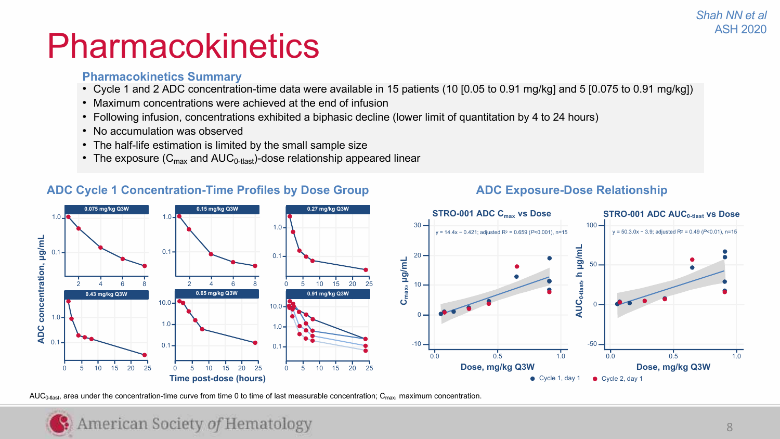#### *Shah NN et al* ASH 2020

## **Pharmacokinetics**

#### **Pharmacokinetics Summary**

- Cycle 1 and 2 ADC concentration-time data were available in 15 patients (10 [0.05 to 0.91 mg/kg] and 5 [0.075 to 0.91 mg/kg])
- Maximum concentrations were achieved at the end of infusion
- Following infusion, concentrations exhibited a biphasic decline (lower limit of quantitation by 4 to 24 hours)
- No accumulation was observed
- The half-life estimation is limited by the small sample size
- The exposure  $(C_{\text{max}}$  and  $AUC_{0\text{-}{\text{flast}}})$ -dose relationship appeared linear

### **ADC Cycle 1 Concentration-Time Profiles by Dose Group ADC Exposure-Dose Relationship**





AUC<sub>0-tlast</sub>, area under the concentration-time curve from time 0 to time of last measurable concentration; C<sub>max</sub>, maximum concentration.

## American Society of Hematology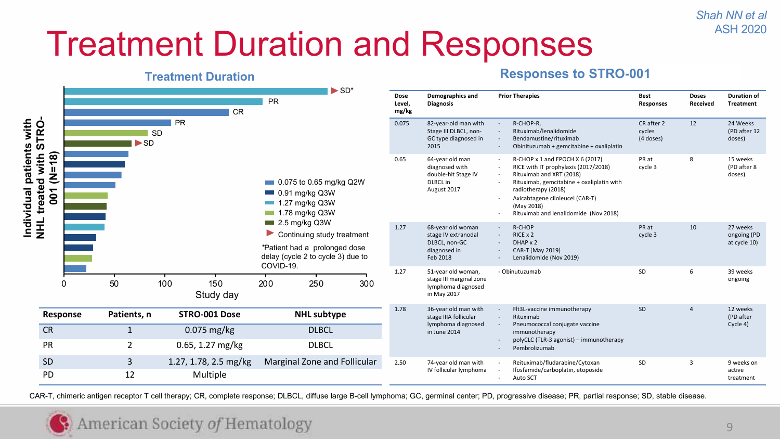*Shah NN et al* ASH 2020

# Treatment Duration and Responses

### **Treatment Duration Responses to STRO-001**

|                                                                                          |          |                                       |                         | $\blacktriangleright$ SD*                                                                                                      |                         |                                                                                            |                                                                                                                                                                                                                                                                   |                                                                     |                          |                                         |                      |
|------------------------------------------------------------------------------------------|----------|---------------------------------------|-------------------------|--------------------------------------------------------------------------------------------------------------------------------|-------------------------|--------------------------------------------------------------------------------------------|-------------------------------------------------------------------------------------------------------------------------------------------------------------------------------------------------------------------------------------------------------------------|---------------------------------------------------------------------|--------------------------|-----------------------------------------|----------------------|
|                                                                                          |          |                                       | <b>CR</b>               | <b>PR</b>                                                                                                                      | Dose<br>Level,<br>mg/kg | Demographics and<br><b>Diagnosis</b>                                                       | <b>Prior Therapies</b>                                                                                                                                                                                                                                            | <b>Best</b><br><b>Responses</b>                                     | <b>Doses</b><br>Received | <b>Duration of</b><br><b>Treatment</b>  |                      |
|                                                                                          |          | <b>SD</b><br>$\blacktriangleright$ SD | <b>PR</b>               | $\Box$ 0.075 to 0.65 mg/kg Q2W<br>$\blacksquare$ 0.91 mg/kg Q3W<br>1.27 mg/kg Q3W<br>$\blacksquare$ 1.78 mg/kg Q3W             |                         | 82-year-old man with<br>Stage III DLBCL, non-<br>GC type diagnosed in<br>2015              | R-CHOP-R.<br>Rituximab/lenalidomide<br>Bendamustine/rituximab<br>Obinituzumab + gemcitabine + oxaliplatin                                                                                                                                                         | CR after 2<br>cycles<br>(4 doses)                                   | 12                       | 24 Weeks<br>(PD after 12<br>doses)      |                      |
| Individual patients with<br>NHL treated with STRO-<br>$(M=18)$<br>with<br>$\overline{5}$ |          |                                       |                         |                                                                                                                                |                         | 64-year old man<br>diagnosed with<br>double-hit Stage IV<br><b>DLBCL</b> in<br>August 2017 | R-CHOP x 1 and EPOCH X 6 (2017)<br>RICE with IT prophylaxis (2017/2018)<br>Rituximab and XRT (2018)<br>Rituximab, gemcitabine + oxaliplatin with<br>radiotherapy (2018)<br>Axicabtagene ciloleucel (CAR-T)<br>(May 2018)<br>Rituximab and lenalidomide (Nov 2018) | PR at<br>cycle 3                                                    | 8                        | 15 weeks<br>(PD after 8<br>doses)       |                      |
|                                                                                          |          |                                       |                         | 2.5 mg/kg Q3W<br>Continuing study treatment<br>*Patient had a prolonged dose<br>delay (cycle 2 to cycle 3) due to<br>COVID-19. | 1.27                    | 68-year old woman<br>stage IV extranodal<br>DLBCL, non-GC<br>diagnosed in<br>Feb 2018      | R-CHOP<br>RICE x 2<br>DHAP x 2<br>CAR-T (May 2019)<br>Lenalidomide (Nov 2019)                                                                                                                                                                                     | PR at<br>cycle 3                                                    | 10                       | 27 weeks<br>ongoing (PD<br>at cycle 10) |                      |
|                                                                                          | 0        | 50                                    | 100<br>150<br>Study day | 250<br>200<br>300                                                                                                              | 1.27                    | 51-year old woman,<br>stage III marginal zone<br>lymphoma diagnosed<br>in May 2017         | - Obinutuzumab                                                                                                                                                                                                                                                    | SD                                                                  | 6                        | 39 weeks<br>ongoing                     |                      |
|                                                                                          | Response | Patients, n                           | STRO-001 Dose           | <b>NHL</b> subtype                                                                                                             | 1.78                    | 36-year old man with<br>stage IIIA follicular                                              | Flt3L-vaccine immunotherapy<br>Rituximab                                                                                                                                                                                                                          | SD                                                                  | $\Delta$                 | 12 weeks<br>(PD after                   |                      |
| <b>CR</b>                                                                                |          | 1                                     | 0.075 mg/kg             | <b>DLBCL</b>                                                                                                                   | in June 2014            | lymphoma diagnosed                                                                         | Pneumococcal conjugate vaccine<br>immunotherapy                                                                                                                                                                                                                   |                                                                     |                          | Cycle 4)                                |                      |
| <b>PR</b>                                                                                |          | $\overline{2}$                        | 0.65, 1.27 mg/kg        | <b>DLBCL</b>                                                                                                                   |                         |                                                                                            | polyCLC (TLR-3 agonist) - immunotherapy<br>Pembrolizumab                                                                                                                                                                                                          |                                                                     |                          |                                         |                      |
| <b>SD</b>                                                                                |          | 3                                     | 1.27, 1.78, 2.5 mg/kg   | Marginal Zone and Follicular                                                                                                   | 2.50                    | 74-year old man with                                                                       |                                                                                                                                                                                                                                                                   | Reituximab/fludarabine/Cytoxan<br>Ifosfamide/carboplatin, etoposide | SD                       | 3                                       | 9 weeks on<br>active |
| <b>PD</b>                                                                                |          | 12                                    | Multiple                |                                                                                                                                | IV follicular lymphoma  |                                                                                            | Auto SCT                                                                                                                                                                                                                                                          |                                                                     |                          | treatment                               |                      |

CAR-T, chimeric antigen receptor T cell therapy; CR, complete response; DLBCL, diffuse large B-cell lymphoma; GC, germinal center; PD, progressive disease; PR, partial response; SD, stable disease.

### American Society of Hematology